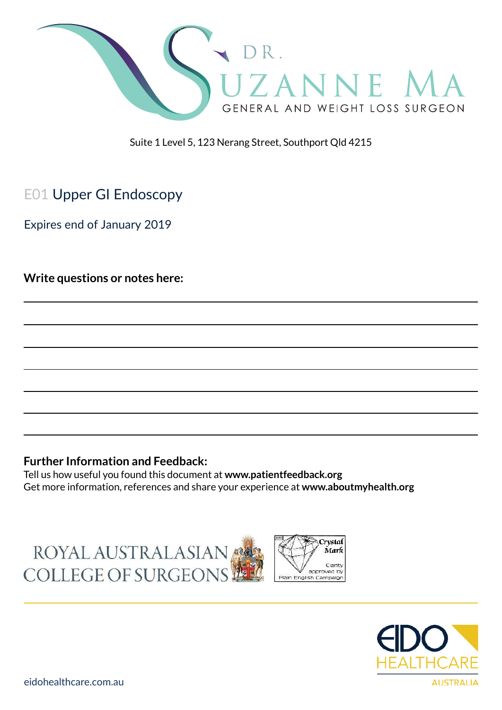

Suite 1 Level 5, 123 Nerang Street, Southport Qld 4215

# E01 Upper GI Endoscopy

Expires end of January 2019

**Write questions or notes here:**

#### **Further Information and Feedback:**

Tell us how useful you found this document at **www.patientfeedback.org** Get more information, references and share your experience at **www.aboutmyhealth.org**

ROYAL AUSTRALASIAN COLLEGE OF SURGEONS



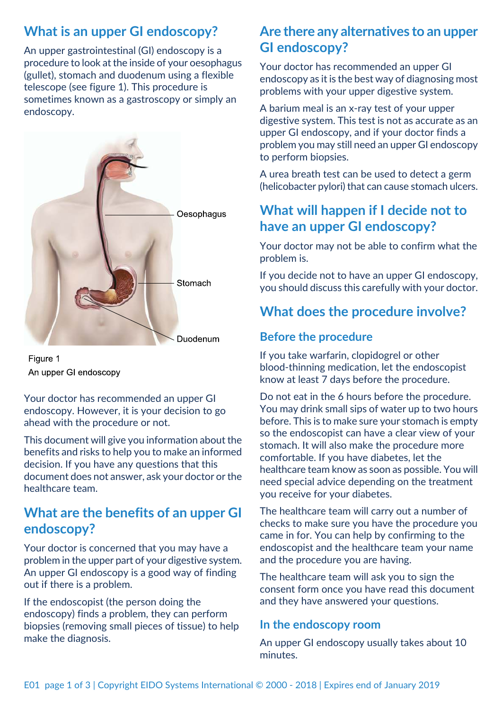# **What is an upper GI endoscopy?**

An upper gastrointestinal (GI) endoscopy is a procedure to look at the inside of your oesophagus (gullet), stomach and duodenum using a flexible telescope (see figure 1). This procedure is sometimes known as a gastroscopy or simply an endoscopy.



Figure 1 An upper GI endoscopy

Your doctor has recommended an upper GI endoscopy. However, it is your decision to go ahead with the procedure or not.

This document will give you information about the benefits and risks to help you to make an informed decision. If you have any questions that this document does not answer, ask your doctor or the healthcare team.

## **What are the benefits of an upper GI endoscopy?**

Your doctor is concerned that you may have a problem in the upper part of your digestive system. An upper GI endoscopy is a good way of finding out if there is a problem.

If the endoscopist (the person doing the endoscopy) finds a problem, they can perform biopsies (removing small pieces of tissue) to help make the diagnosis.

# **Are there any alternatives to an upper GI endoscopy?**

Your doctor has recommended an upper GI endoscopy as it is the best way of diagnosing most problems with your upper digestive system.

A barium meal is an x-ray test of your upper digestive system. This test is not as accurate as an upper GI endoscopy, and if your doctor finds a problem you may still need an upper GI endoscopy to perform biopsies.

A urea breath test can be used to detect a germ (helicobacter pylori) that can cause stomach ulcers.

# **What will happen if I decide not to have an upper GI endoscopy?**

Your doctor may not be able to confirm what the problem is.

If you decide not to have an upper GI endoscopy, you should discuss this carefully with your doctor.

# **What does the procedure involve?**

### **Before the procedure**

If you take warfarin, clopidogrel or other blood-thinning medication, let the endoscopist know at least 7 days before the procedure.

Do not eat in the 6 hours before the procedure. You may drink small sips of water up to two hours before. This is to make sure your stomach is empty so the endoscopist can have a clear view of your stomach. It will also make the procedure more comfortable. If you have diabetes, let the healthcare team know as soon as possible. You will need special advice depending on the treatment you receive for your diabetes.

The healthcare team will carry out a number of checks to make sure you have the procedure you came in for. You can help by confirming to the endoscopist and the healthcare team your name and the procedure you are having.

The healthcare team will ask you to sign the consent form once you have read this document and they have answered your questions.

#### **In the endoscopy room**

An upper GI endoscopy usually takes about 10 minutes.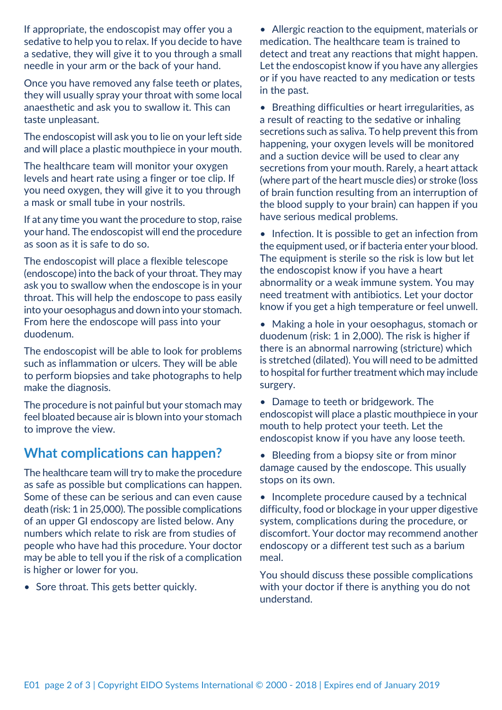If appropriate, the endoscopist may offer you a sedative to help you to relax. If you decide to have a sedative, they will give it to you through a small needle in your arm or the back of your hand.

Once you have removed any false teeth or plates, they will usually spray your throat with some local anaesthetic and ask you to swallow it. This can taste unpleasant.

The endoscopist will ask you to lie on your left side and will place a plastic mouthpiece in your mouth.

The healthcare team will monitor your oxygen levels and heart rate using a finger or toe clip. If you need oxygen, they will give it to you through a mask or small tube in your nostrils.

If at any time you want the procedure to stop, raise your hand. The endoscopist will end the procedure as soon as it is safe to do so.

The endoscopist will place a flexible telescope (endoscope) into the back of your throat. They may ask you to swallow when the endoscope is in your throat. This will help the endoscope to pass easily into your oesophagus and down into your stomach. From here the endoscope will pass into your duodenum.

The endoscopist will be able to look for problems such as inflammation or ulcers. They will be able to perform biopsies and take photographs to help make the diagnosis.

The procedure is not painful but your stomach may feel bloated because air is blown into your stomach to improve the view.

# **What complications can happen?**

The healthcare team will try to make the procedure as safe as possible but complications can happen. Some of these can be serious and can even cause death (risk: 1 in 25,000). The possible complications of an upper GI endoscopy are listed below. Any numbers which relate to risk are from studies of people who have had this procedure. Your doctor may be able to tell you if the risk of a complication is higher or lower for you.

• Sore throat. This gets better quickly.

• Allergic reaction to the equipment, materials or medication. The healthcare team is trained to detect and treat any reactions that might happen. Let the endoscopist know if you have any allergies or if you have reacted to any medication or tests in the past.

• Breathing difficulties or heart irregularities, as a result of reacting to the sedative or inhaling secretions such as saliva. To help prevent this from happening, your oxygen levels will be monitored and a suction device will be used to clear any secretions from your mouth. Rarely, a heart attack (where part of the heart muscle dies) or stroke (loss of brain function resulting from an interruption of the blood supply to your brain) can happen if you have serious medical problems.

• Infection. It is possible to get an infection from the equipment used, or if bacteria enter your blood. The equipment is sterile so the risk is low but let the endoscopist know if you have a heart abnormality or a weak immune system. You may need treatment with antibiotics. Let your doctor know if you get a high temperature or feel unwell.

• Making a hole in your oesophagus, stomach or duodenum (risk: 1 in 2,000). The risk is higher if there is an abnormal narrowing (stricture) which is stretched (dilated). You will need to be admitted to hospital for further treatment which may include surgery.

• Damage to teeth or bridgework. The endoscopist will place a plastic mouthpiece in your mouth to help protect your teeth. Let the endoscopist know if you have any loose teeth.

• Bleeding from a biopsy site or from minor damage caused by the endoscope. This usually stops on its own.

• Incomplete procedure caused by a technical difficulty, food or blockage in your upper digestive system, complications during the procedure, or discomfort. Your doctor may recommend another endoscopy or a different test such as a barium meal.

You should discuss these possible complications with your doctor if there is anything you do not understand.